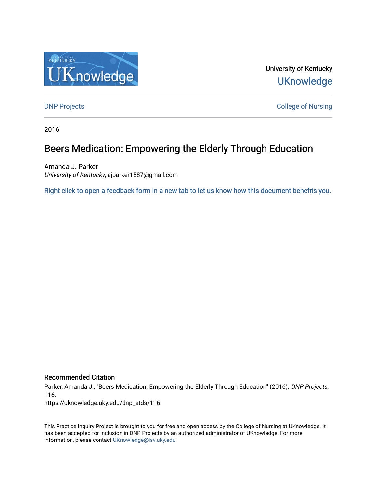

University of Kentucky **UKnowledge** 

**DNP Projects** College of Nursing

2016

# Beers Medication: Empowering the Elderly Through Education

Amanda J. Parker University of Kentucky, ajparker1587@gmail.com

[Right click to open a feedback form in a new tab to let us know how this document benefits you.](https://uky.az1.qualtrics.com/jfe/form/SV_9mq8fx2GnONRfz7)

# Recommended Citation

Parker, Amanda J., "Beers Medication: Empowering the Elderly Through Education" (2016). DNP Projects. 116.

https://uknowledge.uky.edu/dnp\_etds/116

This Practice Inquiry Project is brought to you for free and open access by the College of Nursing at UKnowledge. It has been accepted for inclusion in DNP Projects by an authorized administrator of UKnowledge. For more information, please contact [UKnowledge@lsv.uky.edu](mailto:UKnowledge@lsv.uky.edu).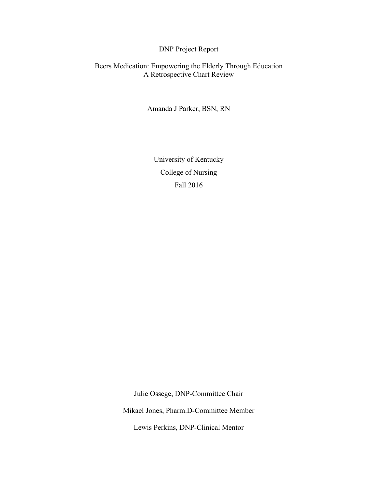# DNP Project Report

Beers Medication: Empowering the Elderly Through Education A Retrospective Chart Review

Amanda J Parker, BSN, RN

University of Kentucky College of Nursing Fall 2016

Julie Ossege, DNP-Committee Chair

Mikael Jones, Pharm.D-Committee Member

Lewis Perkins, DNP-Clinical Mentor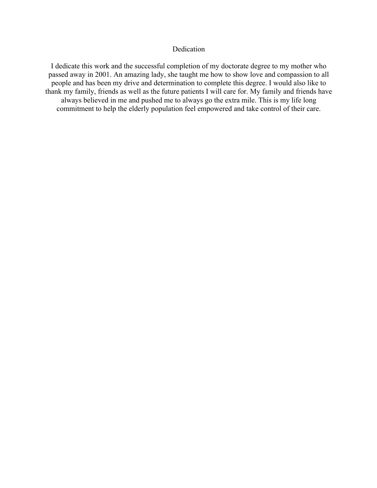# Dedication

I dedicate this work and the successful completion of my doctorate degree to my mother who passed away in 2001. An amazing lady, she taught me how to show love and compassion to all people and has been my drive and determination to complete this degree. I would also like to thank my family, friends as well as the future patients I will care for. My family and friends have always believed in me and pushed me to always go the extra mile. This is my life long commitment to help the elderly population feel empowered and take control of their care.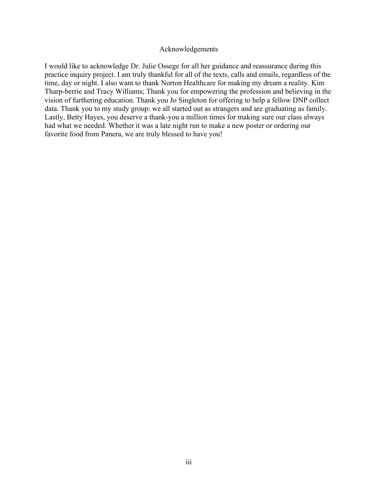## Acknowledgements

I would like to acknowledge Dr. Julie Ossege for all her guidance and reassurance during this practice inquiry project. I am truly thankful for all of the texts, calls and emails, regardless of the time, day or night. I also want to thank Norton Healthcare for making my dream a reality. Kim Tharp-berrie and Tracy Williams; Thank you for empowering the profession and believing in the vision of furthering education. Thank you Jo Singleton for offering to help a fellow DNP collect data. Thank you to my study group: we all started out as strangers and are graduating as family. Lastly, Betty Hayes, you deserve a thank-you a million times for making sure our class always had what we needed. Whether it was a late night run to make a new poster or ordering our favorite food from Panera, we are truly blessed to have you!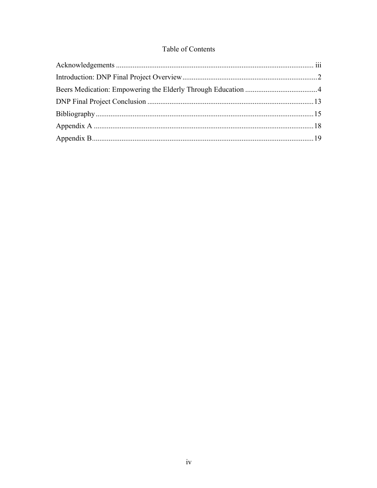# Table of Contents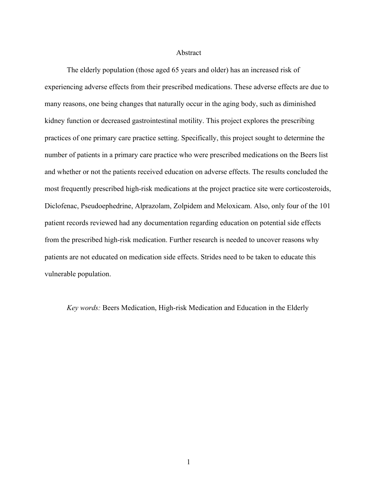### Abstract

The elderly population (those aged 65 years and older) has an increased risk of experiencing adverse effects from their prescribed medications. These adverse effects are due to many reasons, one being changes that naturally occur in the aging body, such as diminished kidney function or decreased gastrointestinal motility. This project explores the prescribing practices of one primary care practice setting. Specifically, this project sought to determine the number of patients in a primary care practice who were prescribed medications on the Beers list and whether or not the patients received education on adverse effects. The results concluded the most frequently prescribed high-risk medications at the project practice site were corticosteroids, Diclofenac, Pseudoephedrine, Alprazolam, Zolpidem and Meloxicam. Also, only four of the 101 patient records reviewed had any documentation regarding education on potential side effects from the prescribed high-risk medication. Further research is needed to uncover reasons why patients are not educated on medication side effects. Strides need to be taken to educate this vulnerable population.

*Key words:* Beers Medication, High-risk Medication and Education in the Elderly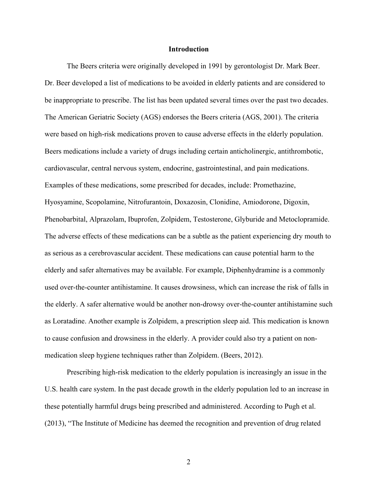### **Introduction**

The Beers criteria were originally developed in 1991 by gerontologist Dr. Mark Beer. Dr. Beer developed a list of medications to be avoided in elderly patients and are considered to be inappropriate to prescribe. The list has been updated several times over the past two decades. The American Geriatric Society (AGS) endorses the Beers criteria (AGS, 2001). The criteria were based on high-risk medications proven to cause adverse effects in the elderly population. Beers medications include a variety of drugs including certain anticholinergic, antithrombotic, cardiovascular, central nervous system, endocrine, gastrointestinal, and pain medications. Examples of these medications, some prescribed for decades, include: Promethazine, Hyosyamine, Scopolamine, Nitrofurantoin, Doxazosin, Clonidine, Amiodorone, Digoxin, Phenobarbital, Alprazolam, Ibuprofen, Zolpidem, Testosterone, Glyburide and Metoclopramide. The adverse effects of these medications can be a subtle as the patient experiencing dry mouth to as serious as a cerebrovascular accident. These medications can cause potential harm to the elderly and safer alternatives may be available. For example, Diphenhydramine is a commonly used over-the-counter antihistamine. It causes drowsiness, which can increase the risk of falls in the elderly. A safer alternative would be another non-drowsy over-the-counter antihistamine such as Loratadine. Another example is Zolpidem, a prescription sleep aid. This medication is known to cause confusion and drowsiness in the elderly. A provider could also try a patient on nonmedication sleep hygiene techniques rather than Zolpidem. (Beers, 2012).

Prescribing high-risk medication to the elderly population is increasingly an issue in the U.S. health care system. In the past decade growth in the elderly population led to an increase in these potentially harmful drugs being prescribed and administered. According to Pugh et al. (2013), "The Institute of Medicine has deemed the recognition and prevention of drug related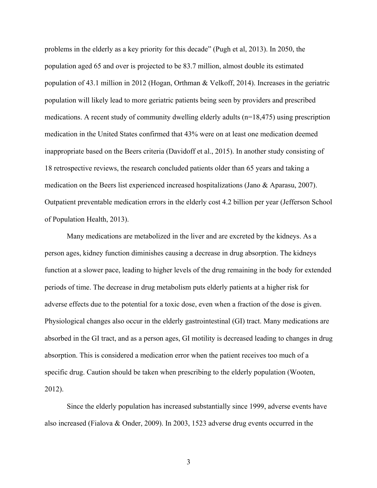problems in the elderly as a key priority for this decade" (Pugh et al, 2013). In 2050, the population aged 65 and over is projected to be 83.7 million, almost double its estimated population of 43.1 million in 2012 (Hogan, Orthman & Velkoff, 2014). Increases in the geriatric population will likely lead to more geriatric patients being seen by providers and prescribed medications. A recent study of community dwelling elderly adults (n=18,475) using prescription medication in the United States confirmed that 43% were on at least one medication deemed inappropriate based on the Beers criteria (Davidoff et al., 2015). In another study consisting of 18 retrospective reviews, the research concluded patients older than 65 years and taking a medication on the Beers list experienced increased hospitalizations (Jano & Aparasu, 2007). Outpatient preventable medication errors in the elderly cost 4.2 billion per year (Jefferson School of Population Health, 2013).

Many medications are metabolized in the liver and are excreted by the kidneys. As a person ages, kidney function diminishes causing a decrease in drug absorption. The kidneys function at a slower pace, leading to higher levels of the drug remaining in the body for extended periods of time. The decrease in drug metabolism puts elderly patients at a higher risk for adverse effects due to the potential for a toxic dose, even when a fraction of the dose is given. Physiological changes also occur in the elderly gastrointestinal (GI) tract. Many medications are absorbed in the GI tract, and as a person ages, GI motility is decreased leading to changes in drug absorption. This is considered a medication error when the patient receives too much of a specific drug. Caution should be taken when prescribing to the elderly population (Wooten, 2012).

Since the elderly population has increased substantially since 1999, adverse events have also increased (Fialova & Onder, 2009). In 2003, 1523 adverse drug events occurred in the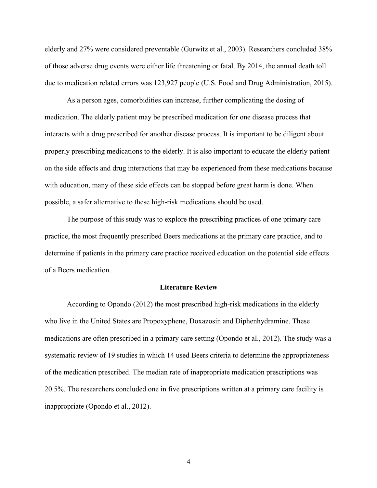elderly and 27% were considered preventable (Gurwitz et al., 2003). Researchers concluded 38% of those adverse drug events were either life threatening or fatal. By 2014, the annual death toll due to medication related errors was 123,927 people (U.S. Food and Drug Administration, 2015).

As a person ages, comorbidities can increase, further complicating the dosing of medication. The elderly patient may be prescribed medication for one disease process that interacts with a drug prescribed for another disease process. It is important to be diligent about properly prescribing medications to the elderly. It is also important to educate the elderly patient on the side effects and drug interactions that may be experienced from these medications because with education, many of these side effects can be stopped before great harm is done. When possible, a safer alternative to these high-risk medications should be used.

The purpose of this study was to explore the prescribing practices of one primary care practice, the most frequently prescribed Beers medications at the primary care practice, and to determine if patients in the primary care practice received education on the potential side effects of a Beers medication.

#### **Literature Review**

According to Opondo (2012) the most prescribed high-risk medications in the elderly who live in the United States are Propoxyphene, Doxazosin and Diphenhydramine. These medications are often prescribed in a primary care setting (Opondo et al., 2012). The study was a systematic review of 19 studies in which 14 used Beers criteria to determine the appropriateness of the medication prescribed. The median rate of inappropriate medication prescriptions was 20.5%. The researchers concluded one in five prescriptions written at a primary care facility is inappropriate (Opondo et al., 2012).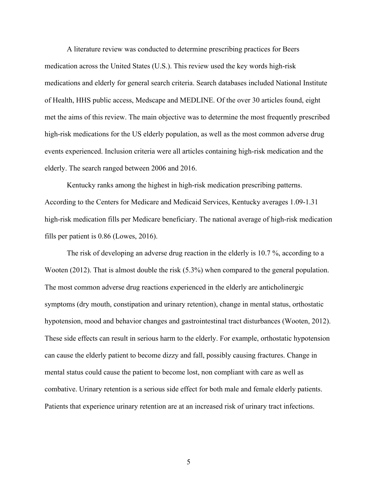A literature review was conducted to determine prescribing practices for Beers medication across the United States (U.S.). This review used the key words high-risk medications and elderly for general search criteria. Search databases included National Institute of Health, HHS public access, Medscape and MEDLINE. Of the over 30 articles found, eight met the aims of this review. The main objective was to determine the most frequently prescribed high-risk medications for the US elderly population, as well as the most common adverse drug events experienced. Inclusion criteria were all articles containing high-risk medication and the elderly. The search ranged between 2006 and 2016.

Kentucky ranks among the highest in high-risk medication prescribing patterns. According to the Centers for Medicare and Medicaid Services, Kentucky averages 1.09-1.31 high-risk medication fills per Medicare beneficiary. The national average of high-risk medication fills per patient is 0.86 (Lowes, 2016).

The risk of developing an adverse drug reaction in the elderly is 10.7 %, according to a Wooten (2012). That is almost double the risk (5.3%) when compared to the general population. The most common adverse drug reactions experienced in the elderly are anticholinergic symptoms (dry mouth, constipation and urinary retention), change in mental status, orthostatic hypotension, mood and behavior changes and gastrointestinal tract disturbances (Wooten, 2012). These side effects can result in serious harm to the elderly. For example, orthostatic hypotension can cause the elderly patient to become dizzy and fall, possibly causing fractures. Change in mental status could cause the patient to become lost, non compliant with care as well as combative. Urinary retention is a serious side effect for both male and female elderly patients. Patients that experience urinary retention are at an increased risk of urinary tract infections.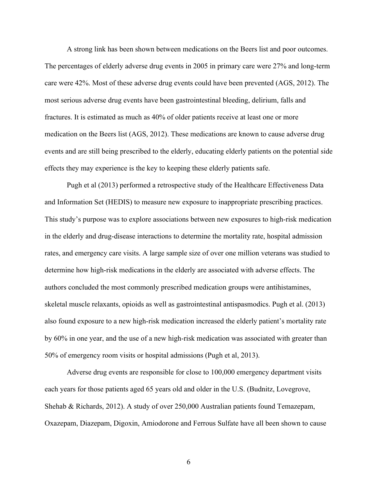A strong link has been shown between medications on the Beers list and poor outcomes. The percentages of elderly adverse drug events in 2005 in primary care were 27% and long-term care were 42%. Most of these adverse drug events could have been prevented (AGS, 2012). The most serious adverse drug events have been gastrointestinal bleeding, delirium, falls and fractures. It is estimated as much as 40% of older patients receive at least one or more medication on the Beers list (AGS, 2012). These medications are known to cause adverse drug events and are still being prescribed to the elderly, educating elderly patients on the potential side effects they may experience is the key to keeping these elderly patients safe.

Pugh et al (2013) performed a retrospective study of the Healthcare Effectiveness Data and Information Set (HEDIS) to measure new exposure to inappropriate prescribing practices. This study's purpose was to explore associations between new exposures to high-risk medication in the elderly and drug-disease interactions to determine the mortality rate, hospital admission rates, and emergency care visits. A large sample size of over one million veterans was studied to determine how high-risk medications in the elderly are associated with adverse effects. The authors concluded the most commonly prescribed medication groups were antihistamines, skeletal muscle relaxants, opioids as well as gastrointestinal antispasmodics. Pugh et al. (2013) also found exposure to a new high-risk medication increased the elderly patient's mortality rate by 60% in one year, and the use of a new high-risk medication was associated with greater than 50% of emergency room visits or hospital admissions (Pugh et al, 2013).

Adverse drug events are responsible for close to 100,000 emergency department visits each years for those patients aged 65 years old and older in the U.S. (Budnitz, Lovegrove, Shehab & Richards, 2012). A study of over 250,000 Australian patients found Temazepam, Oxazepam, Diazepam, Digoxin, Amiodorone and Ferrous Sulfate have all been shown to cause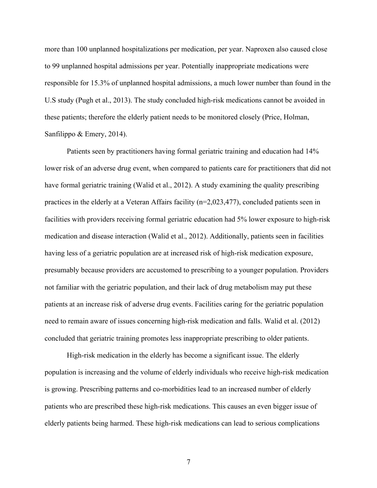more than 100 unplanned hospitalizations per medication, per year. Naproxen also caused close to 99 unplanned hospital admissions per year. Potentially inappropriate medications were responsible for 15.3% of unplanned hospital admissions, a much lower number than found in the U.S study (Pugh et al., 2013). The study concluded high-risk medications cannot be avoided in these patients; therefore the elderly patient needs to be monitored closely (Price, Holman, Sanfilippo & Emery, 2014).

Patients seen by practitioners having formal geriatric training and education had 14% lower risk of an adverse drug event, when compared to patients care for practitioners that did not have formal geriatric training (Walid et al., 2012). A study examining the quality prescribing practices in the elderly at a Veteran Affairs facility (n=2,023,477), concluded patients seen in facilities with providers receiving formal geriatric education had 5% lower exposure to high-risk medication and disease interaction (Walid et al., 2012). Additionally, patients seen in facilities having less of a geriatric population are at increased risk of high-risk medication exposure, presumably because providers are accustomed to prescribing to a younger population. Providers not familiar with the geriatric population, and their lack of drug metabolism may put these patients at an increase risk of adverse drug events. Facilities caring for the geriatric population need to remain aware of issues concerning high-risk medication and falls. Walid et al. (2012) concluded that geriatric training promotes less inappropriate prescribing to older patients.

High-risk medication in the elderly has become a significant issue. The elderly population is increasing and the volume of elderly individuals who receive high-risk medication is growing. Prescribing patterns and co-morbidities lead to an increased number of elderly patients who are prescribed these high-risk medications. This causes an even bigger issue of elderly patients being harmed. These high-risk medications can lead to serious complications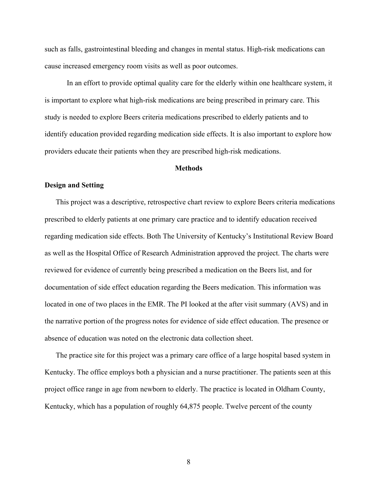such as falls, gastrointestinal bleeding and changes in mental status. High-risk medications can cause increased emergency room visits as well as poor outcomes.

In an effort to provide optimal quality care for the elderly within one healthcare system, it is important to explore what high-risk medications are being prescribed in primary care. This study is needed to explore Beers criteria medications prescribed to elderly patients and to identify education provided regarding medication side effects. It is also important to explore how providers educate their patients when they are prescribed high-risk medications.

#### **Methods**

# **Design and Setting**

This project was a descriptive, retrospective chart review to explore Beers criteria medications prescribed to elderly patients at one primary care practice and to identify education received regarding medication side effects. Both The University of Kentucky's Institutional Review Board as well as the Hospital Office of Research Administration approved the project. The charts were reviewed for evidence of currently being prescribed a medication on the Beers list, and for documentation of side effect education regarding the Beers medication. This information was located in one of two places in the EMR. The PI looked at the after visit summary (AVS) and in the narrative portion of the progress notes for evidence of side effect education. The presence or absence of education was noted on the electronic data collection sheet.

The practice site for this project was a primary care office of a large hospital based system in Kentucky. The office employs both a physician and a nurse practitioner. The patients seen at this project office range in age from newborn to elderly. The practice is located in Oldham County, Kentucky, which has a population of roughly 64,875 people. Twelve percent of the county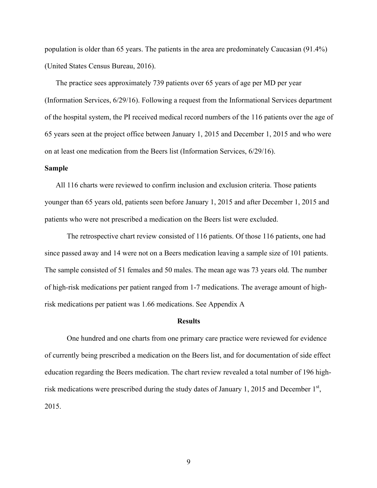population is older than 65 years. The patients in the area are predominately Caucasian (91.4%) (United States Census Bureau, 2016).

The practice sees approximately 739 patients over 65 years of age per MD per year (Information Services, 6/29/16). Following a request from the Informational Services department of the hospital system, the PI received medical record numbers of the 116 patients over the age of 65 years seen at the project office between January 1, 2015 and December 1, 2015 and who were on at least one medication from the Beers list (Information Services, 6/29/16).

# **Sample**

All 116 charts were reviewed to confirm inclusion and exclusion criteria. Those patients younger than 65 years old, patients seen before January 1, 2015 and after December 1, 2015 and patients who were not prescribed a medication on the Beers list were excluded.

The retrospective chart review consisted of 116 patients. Of those 116 patients, one had since passed away and 14 were not on a Beers medication leaving a sample size of 101 patients. The sample consisted of 51 females and 50 males. The mean age was 73 years old. The number of high-risk medications per patient ranged from 1-7 medications. The average amount of highrisk medications per patient was 1.66 medications. See Appendix A

#### **Results**

One hundred and one charts from one primary care practice were reviewed for evidence of currently being prescribed a medication on the Beers list, and for documentation of side effect education regarding the Beers medication. The chart review revealed a total number of 196 highrisk medications were prescribed during the study dates of January 1, 2015 and December  $1<sup>st</sup>$ , 2015.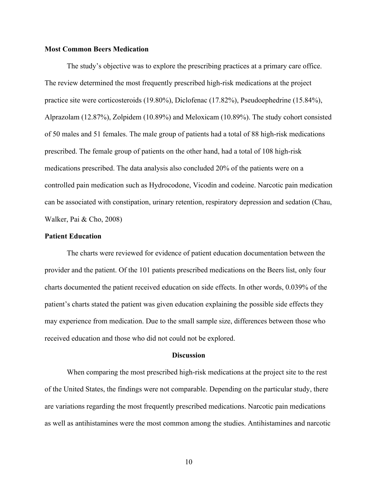## **Most Common Beers Medication**

The study's objective was to explore the prescribing practices at a primary care office. The review determined the most frequently prescribed high-risk medications at the project practice site were corticosteroids (19.80%), Diclofenac (17.82%), Pseudoephedrine (15.84%), Alprazolam (12.87%), Zolpidem (10.89%) and Meloxicam (10.89%). The study cohort consisted of 50 males and 51 females. The male group of patients had a total of 88 high-risk medications prescribed. The female group of patients on the other hand, had a total of 108 high-risk medications prescribed. The data analysis also concluded 20% of the patients were on a controlled pain medication such as Hydrocodone, Vicodin and codeine. Narcotic pain medication can be associated with constipation, urinary retention, respiratory depression and sedation (Chau, Walker, Pai & Cho, 2008)

## **Patient Education**

The charts were reviewed for evidence of patient education documentation between the provider and the patient. Of the 101 patients prescribed medications on the Beers list, only four charts documented the patient received education on side effects. In other words, 0.039% of the patient's charts stated the patient was given education explaining the possible side effects they may experience from medication. Due to the small sample size, differences between those who received education and those who did not could not be explored.

#### **Discussion**

When comparing the most prescribed high-risk medications at the project site to the rest of the United States, the findings were not comparable. Depending on the particular study, there are variations regarding the most frequently prescribed medications. Narcotic pain medications as well as antihistamines were the most common among the studies. Antihistamines and narcotic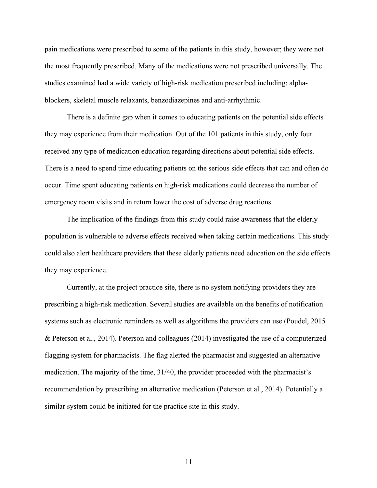pain medications were prescribed to some of the patients in this study, however; they were not the most frequently prescribed. Many of the medications were not prescribed universally. The studies examined had a wide variety of high-risk medication prescribed including: alphablockers, skeletal muscle relaxants, benzodiazepines and anti-arrhythmic.

There is a definite gap when it comes to educating patients on the potential side effects they may experience from their medication. Out of the 101 patients in this study, only four received any type of medication education regarding directions about potential side effects. There is a need to spend time educating patients on the serious side effects that can and often do occur. Time spent educating patients on high-risk medications could decrease the number of emergency room visits and in return lower the cost of adverse drug reactions.

The implication of the findings from this study could raise awareness that the elderly population is vulnerable to adverse effects received when taking certain medications. This study could also alert healthcare providers that these elderly patients need education on the side effects they may experience.

Currently, at the project practice site, there is no system notifying providers they are prescribing a high-risk medication. Several studies are available on the benefits of notification systems such as electronic reminders as well as algorithms the providers can use (Poudel, 2015 & Peterson et al., 2014). Peterson and colleagues (2014) investigated the use of a computerized flagging system for pharmacists. The flag alerted the pharmacist and suggested an alternative medication. The majority of the time, 31/40, the provider proceeded with the pharmacist's recommendation by prescribing an alternative medication (Peterson et al., 2014). Potentially a similar system could be initiated for the practice site in this study.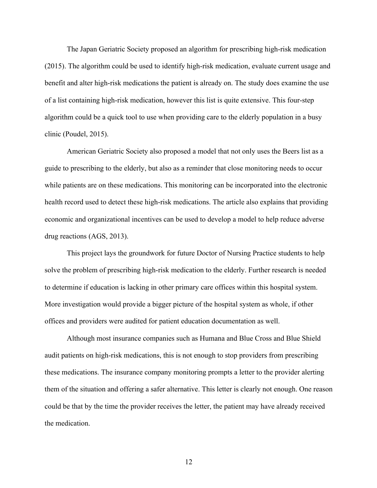The Japan Geriatric Society proposed an algorithm for prescribing high-risk medication (2015). The algorithm could be used to identify high-risk medication, evaluate current usage and benefit and alter high-risk medications the patient is already on. The study does examine the use of a list containing high-risk medication, however this list is quite extensive. This four-step algorithm could be a quick tool to use when providing care to the elderly population in a busy clinic (Poudel, 2015).

American Geriatric Society also proposed a model that not only uses the Beers list as a guide to prescribing to the elderly, but also as a reminder that close monitoring needs to occur while patients are on these medications. This monitoring can be incorporated into the electronic health record used to detect these high-risk medications. The article also explains that providing economic and organizational incentives can be used to develop a model to help reduce adverse drug reactions (AGS, 2013).

This project lays the groundwork for future Doctor of Nursing Practice students to help solve the problem of prescribing high-risk medication to the elderly. Further research is needed to determine if education is lacking in other primary care offices within this hospital system. More investigation would provide a bigger picture of the hospital system as whole, if other offices and providers were audited for patient education documentation as well.

Although most insurance companies such as Humana and Blue Cross and Blue Shield audit patients on high-risk medications, this is not enough to stop providers from prescribing these medications. The insurance company monitoring prompts a letter to the provider alerting them of the situation and offering a safer alternative. This letter is clearly not enough. One reason could be that by the time the provider receives the letter, the patient may have already received the medication.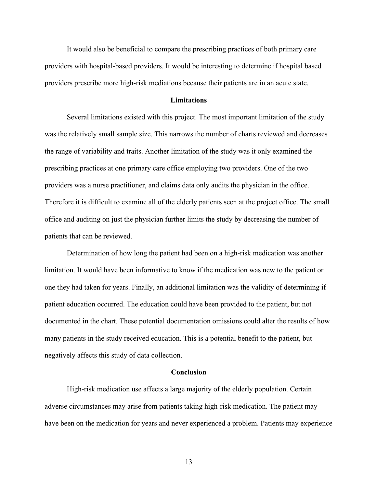It would also be beneficial to compare the prescribing practices of both primary care providers with hospital-based providers. It would be interesting to determine if hospital based providers prescribe more high-risk mediations because their patients are in an acute state.

#### **Limitations**

Several limitations existed with this project. The most important limitation of the study was the relatively small sample size. This narrows the number of charts reviewed and decreases the range of variability and traits. Another limitation of the study was it only examined the prescribing practices at one primary care office employing two providers. One of the two providers was a nurse practitioner, and claims data only audits the physician in the office. Therefore it is difficult to examine all of the elderly patients seen at the project office. The small office and auditing on just the physician further limits the study by decreasing the number of patients that can be reviewed.

Determination of how long the patient had been on a high-risk medication was another limitation. It would have been informative to know if the medication was new to the patient or one they had taken for years. Finally, an additional limitation was the validity of determining if patient education occurred. The education could have been provided to the patient, but not documented in the chart. These potential documentation omissions could alter the results of how many patients in the study received education. This is a potential benefit to the patient, but negatively affects this study of data collection.

## **Conclusion**

High-risk medication use affects a large majority of the elderly population. Certain adverse circumstances may arise from patients taking high-risk medication. The patient may have been on the medication for years and never experienced a problem. Patients may experience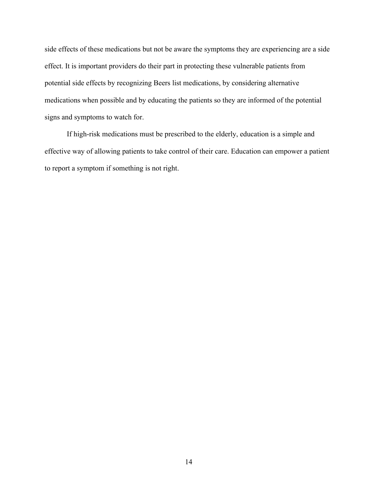side effects of these medications but not be aware the symptoms they are experiencing are a side effect. It is important providers do their part in protecting these vulnerable patients from potential side effects by recognizing Beers list medications, by considering alternative medications when possible and by educating the patients so they are informed of the potential signs and symptoms to watch for.

If high-risk medications must be prescribed to the elderly, education is a simple and effective way of allowing patients to take control of their care. Education can empower a patient to report a symptom if something is not right.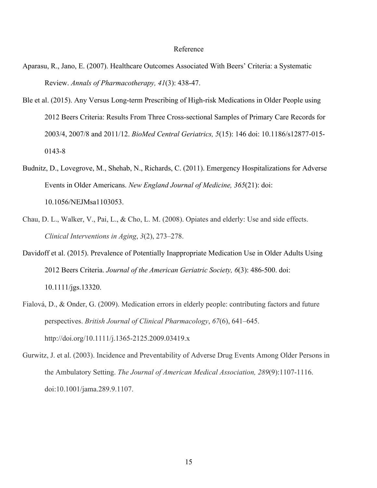#### Reference

- Aparasu, R., Jano, E. (2007). Healthcare Outcomes Associated With Beers' Criteria: a Systematic Review. *Annals of Pharmacotherapy, 41*(3): 438-47.
- Ble et al. (2015). Any Versus Long-term Prescribing of High-risk Medications in Older People using 2012 Beers Criteria: Results From Three Cross-sectional Samples of Primary Care Records for 2003/4, 2007/8 and 2011/12. *BioMed Central Geriatrics, 5*(15): 146 doi: 10.1186/s12877-015- 0143-8
- Budnitz, D., Lovegrove, M., Shehab, N., Richards, C. (2011). Emergency Hospitalizations for Adverse Events in Older Americans. *New England Journal of Medicine, 365*(21): doi: 10.1056/NEJMsa1103053.
- Chau, D. L., Walker, V., Pai, L., & Cho, L. M. (2008). Opiates and elderly: Use and side effects. *Clinical Interventions in Aging*, *3*(2), 273–278.
- Davidoff et al. (2015). Prevalence of Potentially Inappropriate Medication Use in Older Adults Using 2012 Beers Criteria. *Journal of the American Geriatric Society, 6*(3): 486-500. doi: 10.1111/jgs.13320.
- Fialová, D., & Onder, G. (2009). Medication errors in elderly people: contributing factors and future perspectives. *British Journal of Clinical Pharmacology*, *67*(6), 641–645. http://doi.org/10.1111/j.1365-2125.2009.03419.x
- Gurwitz, J. et al. (2003). Incidence and Preventability of Adverse Drug Events Among Older Persons in the Ambulatory Setting. *The Journal of American Medical Association, 289*(9):1107-1116. doi:10.1001/jama.289.9.1107.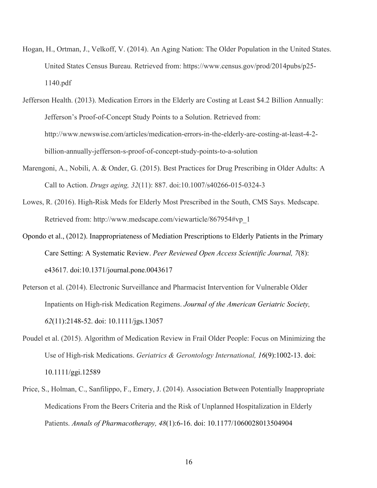Hogan, H., Ortman, J., Velkoff, V. (2014). An Aging Nation: The Older Population in the United States. United States Census Bureau. Retrieved from: https://www.census.gov/prod/2014pubs/p25- 1140.pdf

Jefferson Health. (2013). Medication Errors in the Elderly are Costing at Least \$4.2 Billion Annually: Jefferson's Proof-of-Concept Study Points to a Solution. Retrieved from: http://www.newswise.com/articles/medication-errors-in-the-elderly-are-costing-at-least-4-2 billion-annually-jefferson-s-proof-of-concept-study-points-to-a-solution

- Marengoni, A., Nobili, A. & Onder, G. (2015). Best Practices for Drug Prescribing in Older Adults: A Call to Action. *Drugs aging, 32*(11): 887. doi:10.1007/s40266-015-0324-3
- Lowes, R. (2016). High-Risk Meds for Elderly Most Prescribed in the South, CMS Says. Medscape. Retrieved from: http://www.medscape.com/viewarticle/867954#vp\_1
- Opondo et al., (2012). Inappropriateness of Mediation Prescriptions to Elderly Patients in the Primary Care Setting: A Systematic Review. *Peer Reviewed Open Access Scientific Journal, 7*(8): e43617. doi:10.1371/journal.pone.0043617
- Peterson et al. (2014). Electronic Surveillance and Pharmacist Intervention for Vulnerable Older Inpatients on High-risk Medication Regimens. *Journal of the American Geriatric Society, 62*(11):2148-52. doi: 10.1111/jgs.13057
- Poudel et al. (2015). Algorithm of Medication Review in Frail Older People: Focus on Minimizing the Use of High-risk Medications. *Geriatrics & Gerontology International, 16*(9):1002-13. doi: 10.1111/ggi.12589
- Price, S., Holman, C., Sanfilippo, F., Emery, J. (2014). Association Between Potentially Inappropriate Medications From the Beers Criteria and the Risk of Unplanned Hospitalization in Elderly Patients. *Annals of Pharmacotherapy, 48*(1):6-16. doi: 10.1177/1060028013504904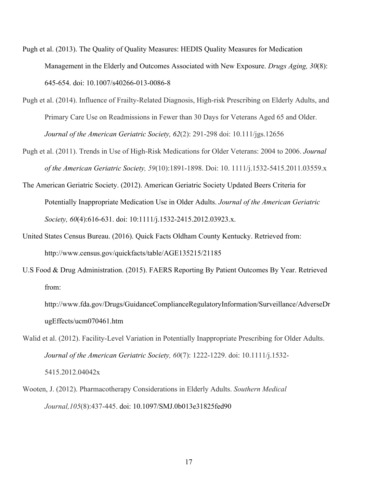Pugh et al. (2013). The Quality of Quality Measures: HEDIS Quality Measures for Medication Management in the Elderly and Outcomes Associated with New Exposure. *Drugs Aging, 30*(8): 645-654. doi: 10.1007/s40266-013-0086-8

- Pugh et al. (2014). Influence of Frailty-Related Diagnosis, High-risk Prescribing on Elderly Adults, and Primary Care Use on Readmissions in Fewer than 30 Days for Veterans Aged 65 and Older. *Journal of the American Geriatric Society, 62*(2): 291-298 doi: 10.111/jgs.12656
- Pugh et al. (2011). Trends in Use of High-Risk Medications for Older Veterans: 2004 to 2006. *Journal of the American Geriatric Society, 59*(10):1891-1898. Doi: 10. 1111/j.1532-5415.2011.03559.x
- The American Geriatric Society. (2012). American Geriatric Society Updated Beers Criteria for Potentially Inappropriate Medication Use in Older Adults. *Journal of the American Geriatric Society, 60*(4):616-631. doi: 10:1111/j.1532-2415.2012.03923.x.
- United States Census Bureau. (2016). Quick Facts Oldham County Kentucky. Retrieved from: http://www.census.gov/quickfacts/table/AGE135215/21185
- U.S Food & Drug Administration. (2015). FAERS Reporting By Patient Outcomes By Year. Retrieved from:

http://www.fda.gov/Drugs/GuidanceComplianceRegulatoryInformation/Surveillance/AdverseDr ugEffects/ucm070461.htm

- Walid et al. (2012). Facility-Level Variation in Potentially Inappropriate Prescribing for Older Adults. *Journal of the American Geriatric Society, 60*(7): 1222-1229. doi: 10.1111/j.1532- 5415.2012.04042x
- Wooten, J. (2012). Pharmacotherapy Considerations in Elderly Adults. *Southern Medical Journal,105*(8):437-445. doi: 10.1097/SMJ.0b013e31825fed90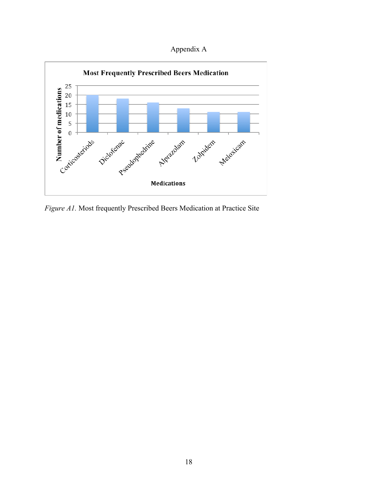Appendix A



*Figure A1.* Most frequently Prescribed Beers Medication at Practice Site